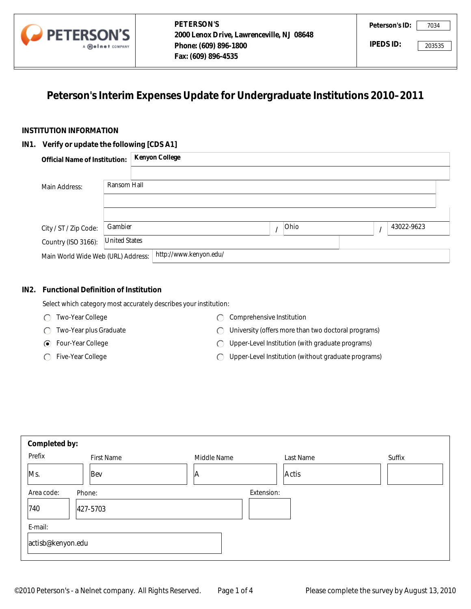

# **Peterson's Interim Expenses Update for Undergraduate Institutions 2010–2011**

### **INSTITUTION INFORMATION**

#### **IN1. Verify or update the following [CDS A1]**

|                                           | A <b>Meinet</b> COMPANY | Phone: (609) 896-1800<br>Fax: (609) 896-4535                                | IPEDS ID: |            | 203535 |
|-------------------------------------------|-------------------------|-----------------------------------------------------------------------------|-----------|------------|--------|
|                                           |                         | Peterson's Interim Expenses Update for Undergraduate Institutions 2010-2011 |           |            |        |
| <b>TITUTION INFORMATION</b>               |                         |                                                                             |           |            |        |
| . Verify or update the following [CDS A1] |                         |                                                                             |           |            |        |
| <b>Official Name of Institution:</b>      |                         | <b>Kenyon College</b>                                                       |           |            |        |
|                                           |                         |                                                                             |           |            |        |
| Main Address:                             | Ransom Hall             |                                                                             |           |            |        |
|                                           |                         |                                                                             |           |            |        |
|                                           |                         |                                                                             |           |            |        |
| City / ST / Zip Code:                     | Gambier                 | Ohio                                                                        | $\prime$  | 43022-9623 |        |
| Country (ISO 3166):                       | <b>United States</b>    |                                                                             |           |            |        |
| Main World Wide Web (URL) Address:        |                         | http://www.kenyon.edu/                                                      |           |            |        |

#### **IN2. Functional Definition of Institution**

- Two-Year College
- Two-Year plus Graduate
- Four-Year College
- ◯ Five-Year College
- C Comprehensive Institution
- University (offers more than two doctoral programs)
- Upper-Level Institution (with graduate programs)
- Upper-Level Institution (without graduate programs)

|            | Main Address:                                                                                                                                                                                                                                                                                                 | Ransom Hall          |                        |            |           |  |   |            |
|------------|---------------------------------------------------------------------------------------------------------------------------------------------------------------------------------------------------------------------------------------------------------------------------------------------------------------|----------------------|------------------------|------------|-----------|--|---|------------|
|            | City / ST / Zip Code:                                                                                                                                                                                                                                                                                         | Gambier              |                        | $\prime$   | Ohio      |  | I | 43022-9623 |
|            | Country (ISO 3166):                                                                                                                                                                                                                                                                                           | <b>United States</b> |                        |            |           |  |   |            |
|            | Main World Wide Web (URL) Address:                                                                                                                                                                                                                                                                            |                      | http://www.kenyon.edu/ |            |           |  |   |            |
| IN2.       | <b>Functional Definition of Institution</b><br>Select which category most accurately describes your institution:<br>Two-Year College<br>Comprehensive Institution<br>⊖<br>$\left( \begin{array}{c} \end{array} \right)$<br>Two-Year plus Graduate<br>University (offers more than two doctoral programs)<br>⊖ |                      |                        |            |           |  |   |            |
|            | Upper-Level Institution (with graduate programs)<br>Four-Year College<br>⊙<br>◯<br>Five-Year College<br>Upper-Level Institution (without graduate programs)<br>C                                                                                                                                              |                      |                        |            |           |  |   |            |
|            |                                                                                                                                                                                                                                                                                                               |                      |                        |            |           |  |   |            |
|            | Completed by:                                                                                                                                                                                                                                                                                                 |                      |                        |            |           |  |   |            |
| Prefix     |                                                                                                                                                                                                                                                                                                               | <b>First Name</b>    | Middle Name            |            | Last Name |  |   | Suffix     |
| Ms.        | Bev                                                                                                                                                                                                                                                                                                           |                      | A                      |            | Actis     |  |   |            |
| Area code: | Phone:                                                                                                                                                                                                                                                                                                        |                      |                        | Extension: |           |  |   |            |
| 740        | 427-5703                                                                                                                                                                                                                                                                                                      |                      |                        |            |           |  |   |            |
| E-mail:    |                                                                                                                                                                                                                                                                                                               |                      |                        |            |           |  |   |            |
|            | actisb@kenyon.edu                                                                                                                                                                                                                                                                                             |                      |                        |            |           |  |   |            |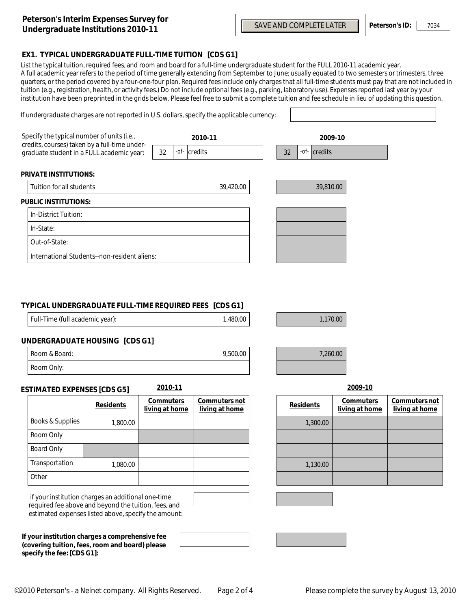### **EX1. TYPICAL UNDERGRADUATE FULL-TIME TUITION [CDS G1]**

If undergraduate charges are not reported in U.S. dollars, specify the applicable currency:

List the typical tuition, required fees, and room and board for a full-time undergraduate student for the FULL 2010-11 academic year. A full academic year refers to the period of time generally extending from September to June; usually equated to two semesters or trimesters, three quarters, or the period covered by a four-one-four plan. Required fees include only charges that all full-time students must pay that are not included in tuition (e.g., registration, health, or activity fees.) Do not include optional fees (e.g., parking, laboratory use). Expenses reported last year by your institution have been preprinted in the grids below. Please feel free to submit a complete tuition and fee schedule in lieu of updating this question.

| Specify the typical number of units (i.e.,<br>credits, courses) taken by a full-time under-<br>graduate student in a FULL academic year: | 32 | 2010-11<br>-of- credits | 32 | 2009-10<br>$-$ <i>of</i> $  {\bf c}$ redits |  |
|------------------------------------------------------------------------------------------------------------------------------------------|----|-------------------------|----|---------------------------------------------|--|
| <b>PRIVATE INSTITUTIONS:</b>                                                                                                             |    |                         |    |                                             |  |
| Tuition for all students                                                                                                                 |    | 39,420.00               |    | 39,810.00                                   |  |
| <b>PUBLIC INSTITUTIONS:</b>                                                                                                              |    |                         |    |                                             |  |
| In-District Tuition:                                                                                                                     |    |                         |    |                                             |  |
| In-State:                                                                                                                                |    |                         |    |                                             |  |
| Out-of-State:                                                                                                                            |    |                         |    |                                             |  |
| International Students--non-resident aliens:                                                                                             |    |                         |    |                                             |  |

### **TYPICAL UNDERGRADUATE FULL-TIME REQUIRED FEES [CDS G1]**

| Full-Time (full academic year): | 1,480.00 |
|---------------------------------|----------|
|                                 |          |

9,500.00 7,260.00

1,480.00 1,170.00

## **UNDERGRADUATE HOUSING [CDS G1]**

| Room & Board: | 9,500.00 |
|---------------|----------|
| Room Only.    |          |

#### **ESTIMATED EXPENSES [CDS G5] 2010-11 2009-10**

|                  | <b>Residents</b> | <b>Commuters</b><br>living at home | Commuters not<br>living at home | <b>Residents</b> |
|------------------|------------------|------------------------------------|---------------------------------|------------------|
| Books & Supplies | 1,800.00         |                                    |                                 | 1,300.00         |
| Room Only        |                  |                                    |                                 |                  |
| Board Only       |                  |                                    |                                 |                  |
| Transportation   | 1,080.00         |                                    |                                 | 1,130.00         |
| Other            |                  |                                    |                                 |                  |

 if your institution charges an additional one-time required fee above and beyond the tuition, fees, and estimated expenses listed above, specify the amount:

**If your institution charges a comprehensive fee (covering tuition, fees, room and board) please specify the fee: [CDS G1]:**

| 2009- |  | -10 |  |
|-------|--|-----|--|

| Commuters not<br>living at home | <b>Residents</b> | <b>Commuters</b><br>living at home | Commuters not<br>living at home |
|---------------------------------|------------------|------------------------------------|---------------------------------|
|                                 | 1,300.00         |                                    |                                 |
|                                 |                  |                                    |                                 |
|                                 |                  |                                    |                                 |
|                                 | 1,130.00         |                                    |                                 |
|                                 |                  |                                    |                                 |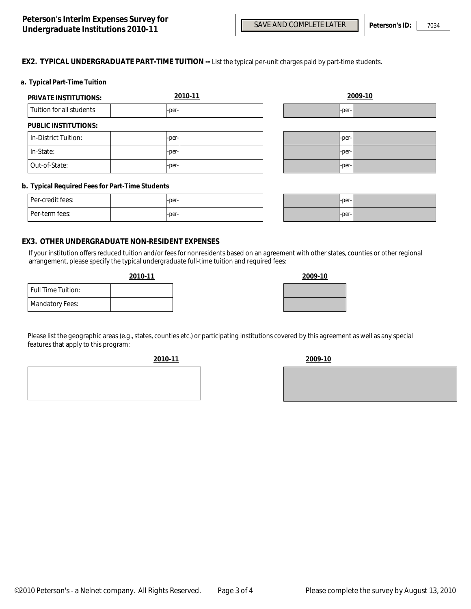$\left| \mathbf{v} \right|$ 

 $\overline{\phantom{0}}$  $\overline{\phantom{0}}$ 

#### **EX2. TYPICAL UNDERGRADUATE PART-TIME TUITION --** List the typical per-unit charges paid by part-time students.

#### **a. Typical Part-Time Tuition**

| <b>PRIVATE INSTITUTIONS:</b> | 2010-11 |                      | 2009-10 |
|------------------------------|---------|----------------------|---------|
| Tuition for all students     | -per-   |                      | -per-   |
| <b>PUBLIC INSTITUTIONS:</b>  |         |                      |         |
| In-District Tuition:         | -per-   |                      | -per-   |
| In-State:                    | -per-   |                      | -per-   |
| Out-of-State:                | -per-   | $\blacktriangledown$ | -per-   |

#### **b. Typical Required Fees for Part-Time Students**

| Per-credit fees: | $-per-$ |  |
|------------------|---------|--|
| Per-term fees:   | $-per-$ |  |

| $-per-$ | ı |
|---------|---|
| $-per-$ | ı |

#### **EX3. OTHER UNDERGRADUATE NON-RESIDENT EXPENSES**

If your institution offers reduced tuition and/or fees for nonresidents based on an agreement with other states, counties or other regional arrangement, please specify the typical undergraduate full-time tuition and required fees:

#### **2010-11 2009-10**

| <b>Full Time Tuition:</b> |  |
|---------------------------|--|
| <b>Mandatory Fees:</b>    |  |

| Please list the geographic areas (e.g., states, counties etc.) or participating institutions covered by this agreement as well as any special |  |
|-----------------------------------------------------------------------------------------------------------------------------------------------|--|
| features that apply to this program:                                                                                                          |  |

**2010-11 2009-10**

|      | <u>_______</u>                               |    |
|------|----------------------------------------------|----|
|      | <u> The Common State Common State Common</u> | __ |
|      |                                              |    |
|      |                                              |    |
|      | the contract of the contract of the          |    |
|      |                                              |    |
|      |                                              |    |
| ____ |                                              |    |
|      |                                              |    |